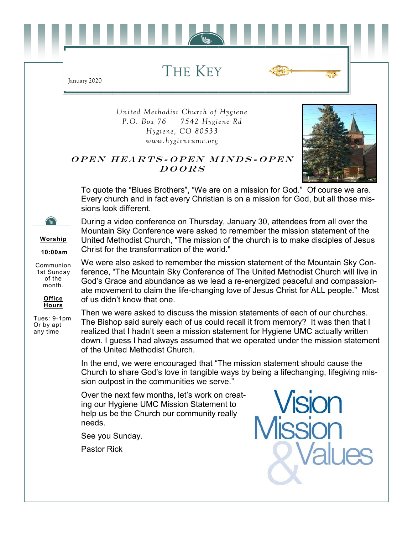THE KEY



*United Methodist Church of Hygiene P.O. Box 76 7542 Hygiene Rd Hygiene, CO 80533 www.hygieneumc.org*



#### OPEN HEARTS-OPEN MINDS-OPEN  $DOORS$

To quote the "Blues Brothers", "We are on a mission for God." Of course we are. Every church and in fact every Christian is on a mission for God, but all those missions look different.

During a video conference on Thursday, January 30, attendees from all over the Mountain Sky Conference were asked to remember the mission statement of the United Methodist Church, "The mission of the church is to make disciples of Jesus Christ for the transformation of the world."

We were also asked to remember the mission statement of the Mountain Sky Conference, "The Mountain Sky Conference of The United Methodist Church will live in God's Grace and abundance as we lead a re-energized peaceful and compassionate movement to claim the life-changing love of Jesus Christ for ALL people." Most of us didn't know that one.

Then we were asked to discuss the mission statements of each of our churches. The Bishop said surely each of us could recall it from memory? It was then that I realized that I hadn't seen a mission statement for Hygiene UMC actually written down. I guess I had always assumed that we operated under the mission statement of the United Methodist Church.

In the end, we were encouraged that "The mission statement should cause the Church to share God's love in tangible ways by being a lifechanging, lifegiving mission outpost in the communities we serve."

Over the next few months, let's work on creating our Hygiene UMC Mission Statement to help us be the Church our community really needs.

See you Sunday.

Pastor Rick

**Worship 10:00am** Communion 1st Sunday of the month.

January 2020

**Office Hours** Tues: 9-1pm Or by apt any time

**Vision**<br>Mission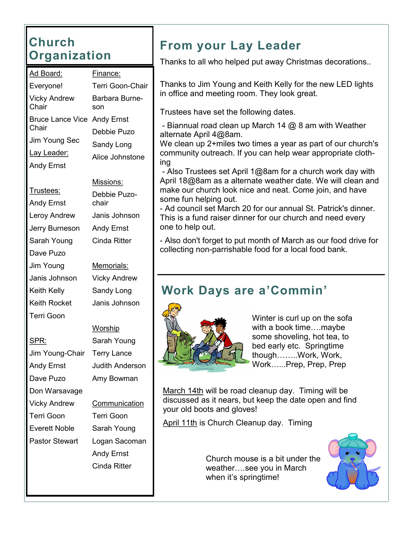#### **Church Organization**

| Ad Board:                            | Finance:           |
|--------------------------------------|--------------------|
| Everyone!                            | Terri Goon-        |
| <b>Vicky Andrew</b><br>Chair         | Barbara Bur<br>son |
| Bruce Lance Vice Andy Ernst<br>Chair | Debbie Puz         |
| Jim Young Sec                        | Sandy Long         |
| Lay Leader:                          | Alice Johnst       |
| <b>Andy Ernst</b>                    |                    |

Trustees: Andy Ernst Leroy Andrew Jerry Burneson Sarah Young Dave Puzo Jim Young Janis Johnson Keith Kelly Keith Rocket Terri Goon

SPR:

Jim Young-Chair

Don Warsavage Vicky Andrew Terri Goon Everett Noble Pastor Stewart

Andy Ernst Dave Puzo

Sandy Long Alice Johnstone Missions: Debbie Puzochair Janis Johnson Andy Ernst Cinda Ritter

Debbie Puzo

Terri Goon-Chair Barbara Burne-

Memorials: Vicky Andrew Sandy Long Janis Johnson

#### **Worship**

Sarah Young Terry Lance Judith Anderson Amy Bowman

**Communication** Terri Goon Sarah Young Logan Sacoman Andy Ernst Cinda Ritter

## **From your Lay Leader**

Thanks to all who helped put away Christmas decorations..

Thanks to Jim Young and Keith Kelly for the new LED lights in office and meeting room. They look great.

Trustees have set the following dates.

- Biannual road clean up March 14  $@$  8 am with Weather alternate April 4@8am.

We clean up 2+miles two times a year as part of our church's community outreach. If you can help wear appropriate clothing

- Also Trustees set April 1@8am for a church work day with April 18@8am as a alternate weather date. We will clean and make our church look nice and neat. Come join, and have some fun helping out.

- Ad council set March 20 for our annual St. Patrick's dinner. This is a fund raiser dinner for our church and need every one to help out.

- Also don't forget to put month of March as our food drive for collecting non-parrishable food for a local food bank.

## **Work Days are a'Commin'**



Winter is curl up on the sofa with a book time….maybe some shoveling, hot tea, to bed early etc. Springtime though……..Work, Work, Work…...Prep, Prep, Prep

March 14th will be road cleanup day. Timing will be discussed as it nears, but keep the date open and find your old boots and gloves!

April 11th is Church Cleanup day. Timing

Church mouse is a bit under the weather….see you in March when it's springtime!

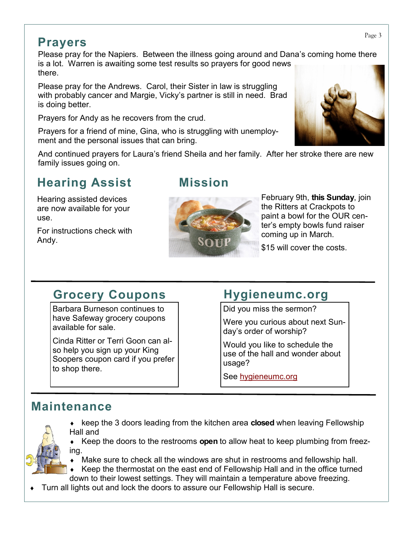#### **Prayers**

Please pray for the Napiers. Between the illness going around and Dana's coming home there is a lot. Warren is awaiting some test results so prayers for good news there.

Please pray for the Andrews. Carol, their Sister in law is struggling with probably cancer and Margie, Vicky's partner is still in need. Brad is doing better.

Prayers for Andy as he recovers from the crud.

Prayers for a friend of mine, Gina, who is struggling with unemployment and the personal issues that can bring.

And continued prayers for Laura's friend Sheila and her family. After her stroke there are new family issues going on.

### **Hearing Assist**

Hearing assisted devices are now available for your use.

For instructions check with Andy.

#### **Mission**



February 9th, **this Sunday**, join the Ritters at Crackpots to paint a bowl for the OUR center's empty bowls fund raiser coming up in March.

\$15 will cover the costs.

#### **Grocery Coupons**

Barbara Burneson continues to have Safeway grocery coupons available for sale.

Cinda Ritter or Terri Goon can also help you sign up your King Soopers coupon card if you prefer to shop there.

#### **Hygieneumc.org**

Did you miss the sermon?

Were you curious about next Sunday's order of worship?

Would you like to schedule the use of the hall and wonder about usage?

See [hygieneumc.org](https://www.hygieneumc.org/)

#### **Maintenance**

• keep the 3 doors leading from the kitchen area **closed** when leaving Fellowship Hall and

 Keep the doors to the restrooms **open** to allow heat to keep plumbing from freezing.

Make sure to check all the windows are shut in restrooms and fellowship hall.

 Keep the thermostat on the east end of Fellowship Hall and in the office turned down to their lowest settings. They will maintain a temperature above freezing.

Turn all lights out and lock the doors to assure our Fellowship Hall is secure.

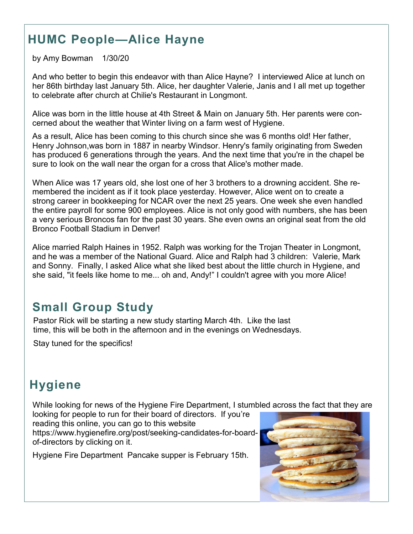### **HUMC People—Alice Hayne**

by Amy Bowman 1/30/20

And who better to begin this endeavor with than Alice Hayne? I interviewed Alice at lunch on her 86th birthday last January 5th. Alice, her daughter Valerie, Janis and I all met up together to celebrate after church at Chilie's Restaurant in Longmont.

Alice was born in the little house at 4th Street & Main on January 5th. Her parents were concerned about the weather that Winter living on a farm west of Hygiene.

As a result, Alice has been coming to this church since she was 6 months old! Her father, Henry Johnson,was born in 1887 in nearby Windsor. Henry's family originating from Sweden has produced 6 generations through the years. And the next time that you're in the chapel be sure to look on the wall near the organ for a cross that Alice's mother made.

When Alice was 17 years old, she lost one of her 3 brothers to a drowning accident. She remembered the incident as if it took place yesterday. However, Alice went on to create a strong career in bookkeeping for NCAR over the next 25 years. One week she even handled the entire payroll for some 900 employees. Alice is not only good with numbers, she has been a very serious Broncos fan for the past 30 years. She even owns an original seat from the old Bronco Football Stadium in Denver!

Alice married Ralph Haines in 1952. Ralph was working for the Trojan Theater in Longmont, and he was a member of the National Guard. Alice and Ralph had 3 children: Valerie, Mark and Sonny. Finally, I asked Alice what she liked best about the little church in Hygiene, and she said, "it feels like home to me... oh and, Andy!" I couldn't agree with you more Alice!

#### **Small Group Study**

Pastor Rick will be starting a new study starting March 4th. Like the last time, this will be both in the afternoon and in the evenings on Wednesdays.

Stay tuned for the specifics!

#### **Hygiene**

While looking for news of the Hygiene Fire Department, I stumbled across the fact that they are

looking for people to run for their board of directors. If you're reading this online, you can go to this website https://www.hygienefire.org/post/seeking-candidates-for-boardof-directors by clicking on it.

Hygiene Fire Department Pancake supper is February 15th.